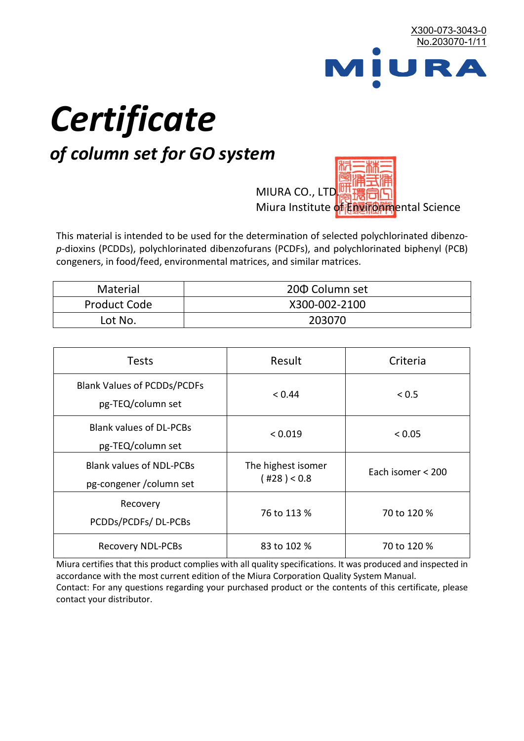

# *Certificate*

# *of column set for GO system*

MIURA CO., LTD. Miura Institute of 正版而解ental Science

This material is intended to be used for the determination of selected polychlorinated dibenzo*p*-dioxins (PCDDs), polychlorinated dibenzofurans (PCDFs), and polychlorinated biphenyl (PCB) congeners, in food/feed, environmental matrices, and similar matrices.

| Material     | 200 Column set |  |
|--------------|----------------|--|
| Product Code | X300-002-2100  |  |
| Lot No.      | 203070         |  |

| <b>Tests</b>                                                | Result                            | Criteria          |  |
|-------------------------------------------------------------|-----------------------------------|-------------------|--|
| <b>Blank Values of PCDDs/PCDFs</b><br>pg-TEQ/column set     | < 0.44                            | < 0.5             |  |
| <b>Blank values of DL-PCBs</b><br>pg-TEQ/column set         | < 0.019                           | < 0.05            |  |
| <b>Blank values of NDL-PCBs</b><br>pg-congener / column set | The highest isomer<br>(428) < 0.8 | Each isomer < 200 |  |
| Recovery<br>PCDDs/PCDFs/DL-PCBs                             | 76 to 113 %                       | 70 to 120 %       |  |
| <b>Recovery NDL-PCBs</b>                                    | 83 to 102 %                       | 70 to 120 %       |  |

Miura certifies that this product complies with all quality specifications. It was produced and inspected in accordance with the most current edition of the Miura Corporation Quality System Manual. Contact: For any questions regarding your purchased product or the contents of this certificate, please contact your distributor.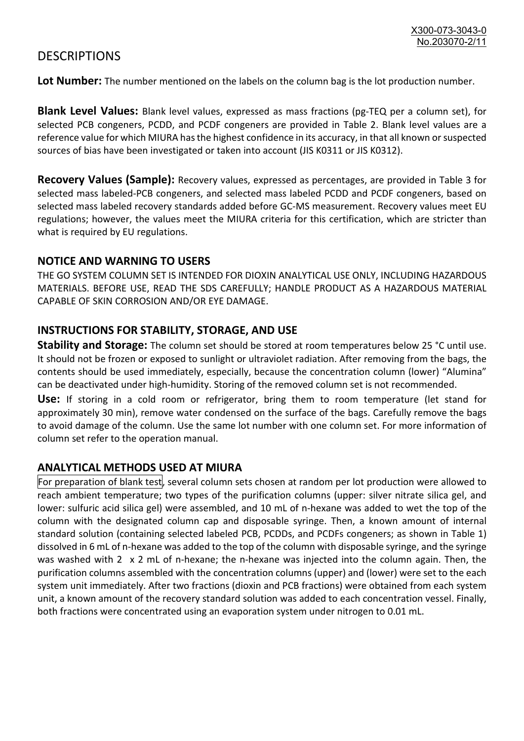## **DESCRIPTIONS**

**Lot Number:** The number mentioned on the labels on the column bag is the lot production number.

**Blank Level Values:** Blank level values, expressed as mass fractions (pg-TEQ per a column set), for selected PCB congeners, PCDD, and PCDF congeners are provided in Table 2. Blank level values are a reference value for which MIURA has the highest confidence in its accuracy, in that all known or suspected sources of bias have been investigated or taken into account (JIS K0311 or JIS K0312).

**Recovery Values (Sample):** Recovery values, expressed as percentages, are provided in Table 3 for selected mass labeled-PCB congeners, and selected mass labeled PCDD and PCDF congeners, based on selected mass labeled recovery standards added before GC-MS measurement. Recovery values meet EU regulations; however, the values meet the MIURA criteria for this certification, which are stricter than what is required by EU regulations.

#### **NOTICE AND WARNING TO USERS**

THE GO SYSTEM COLUMN SET IS INTENDED FOR DIOXIN ANALYTICAL USE ONLY, INCLUDING HAZARDOUS MATERIALS. BEFORE USE, READ THE SDS CAREFULLY; HANDLE PRODUCT AS A HAZARDOUS MATERIAL CAPABLE OF SKIN CORROSION AND/OR EYE DAMAGE.

#### **INSTRUCTIONS FOR STABILITY, STORAGE, AND USE**

**Stability and Storage:** The column set should be stored at room temperatures below 25 °C until use. It should not be frozen or exposed to sunlight or ultraviolet radiation. After removing from the bags, the contents should be used immediately, especially, because the concentration column (lower) "Alumina" can be deactivated under high-humidity. Storing of the removed column set is not recommended.

**Use:** If storing in a cold room or refrigerator, bring them to room temperature (let stand for approximately 30 min), remove water condensed on the surface of the bags. Carefully remove the bags to avoid damage of the column. Use the same lot number with one column set. For more information of column set refer to the operation manual.

### **ANALYTICAL METHODS USED AT MIURA**

For preparation of blank test, several column sets chosen at random per lot production were allowed to reach ambient temperature; two types of the purification columns (upper: silver nitrate silica gel, and lower: sulfuric acid silica gel) were assembled, and 10 mL of n-hexane was added to wet the top of the column with the designated column cap and disposable syringe. Then, a known amount of internal standard solution (containing selected labeled PCB, PCDDs, and PCDFs congeners; as shown in Table 1) dissolved in 6 mL of n-hexane was added to the top of the column with disposable syringe, and the syringe was washed with 2 x 2 mL of n-hexane; the n-hexane was injected into the column again. Then, the purification columns assembled with the concentration columns (upper) and (lower) were set to the each system unit immediately. After two fractions (dioxin and PCB fractions) were obtained from each system unit, a known amount of the recovery standard solution was added to each concentration vessel. Finally, both fractions were concentrated using an evaporation system under nitrogen to 0.01 mL.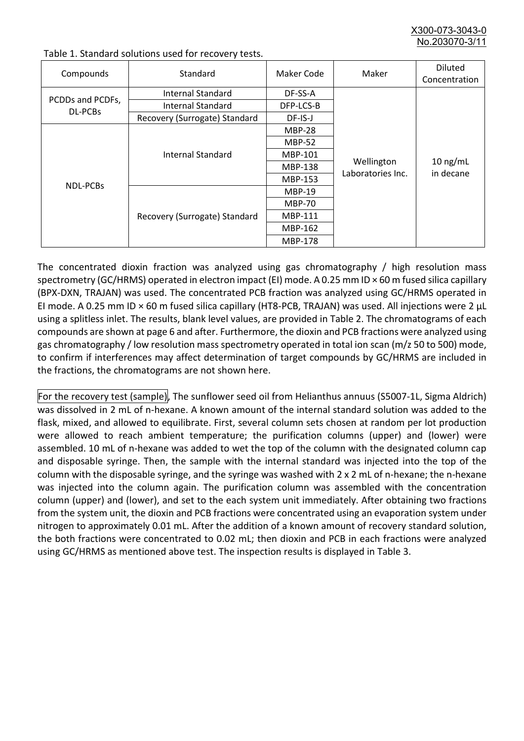X300-073-3043-0 No.203070-3/

| Compounds                   | Standard                      | Maker Code     | Maker                           | <b>Diluted</b><br>Concentration |
|-----------------------------|-------------------------------|----------------|---------------------------------|---------------------------------|
|                             | Internal Standard             | DF-SS-A        |                                 |                                 |
| PCDDs and PCDFs,<br>DL-PCBs | <b>Internal Standard</b>      | DFP-LCS-B      |                                 | $10$ ng/mL<br>in decane         |
|                             | Recovery (Surrogate) Standard | DF-IS-J        |                                 |                                 |
| NDL-PCBs                    | Internal Standard             | <b>MBP-28</b>  | Wellington<br>Laboratories Inc. |                                 |
|                             |                               | <b>MBP-52</b>  |                                 |                                 |
|                             |                               | MBP-101        |                                 |                                 |
|                             |                               | <b>MBP-138</b> |                                 |                                 |
|                             |                               | MBP-153        |                                 |                                 |
|                             | Recovery (Surrogate) Standard | <b>MBP-19</b>  |                                 |                                 |
|                             |                               | <b>MBP-70</b>  |                                 |                                 |
|                             |                               | MBP-111        |                                 |                                 |
|                             |                               | MBP-162        |                                 |                                 |
|                             |                               | <b>MBP-178</b> |                                 |                                 |

Table 1. Standard solutions used for recovery tests.

The concentrated dioxin fraction was analyzed using gas chromatography / high resolution mass spectrometry (GC/HRMS) operated in electron impact (EI) mode. A 0.25 mm ID × 60 m fused silica capillary (BPX-DXN, TRAJAN) was used. The concentrated PCB fraction was analyzed using GC/HRMS operated in EI mode. A 0.25 mm ID × 60 m fused silica capillary (HT8-PCB, TRAJAN) was used. All injections were 2 μL using a splitless inlet. The results, blank level values, are provided in Table 2. The chromatograms of each compounds are shown at page 6 and after. Furthermore, the dioxin and PCB fractions were analyzed using gas chromatography / low resolution mass spectrometry operated in total ion scan (m/z 50 to 500) mode, to confirm if interferences may affect determination of target compounds by GC/HRMS are included in the fractions, the chromatograms are not shown here.

For the recovery test (sample), The sunflower seed oil from Helianthus annuus (S5007-1L, Sigma Aldrich) was dissolved in 2 mL of n-hexane. A known amount of the internal standard solution was added to the flask, mixed, and allowed to equilibrate. First, several column sets chosen at random per lot production were allowed to reach ambient temperature; the purification columns (upper) and (lower) were assembled. 10 mL of n-hexane was added to wet the top of the column with the designated column cap and disposable syringe. Then, the sample with the internal standard was injected into the top of the column with the disposable syringe, and the syringe was washed with 2 x 2 mL of n-hexane; the n-hexane was injected into the column again. The purification column was assembled with the concentration column (upper) and (lower), and set to the each system unit immediately. After obtaining two fractions from the system unit, the dioxin and PCB fractions were concentrated using an evaporation system under nitrogen to approximately 0.01 mL. After the addition of a known amount of recovery standard solution, the both fractions were concentrated to 0.02 mL; then dioxin and PCB in each fractions were analyzed using GC/HRMS as mentioned above test. The inspection results is displayed in Table 3.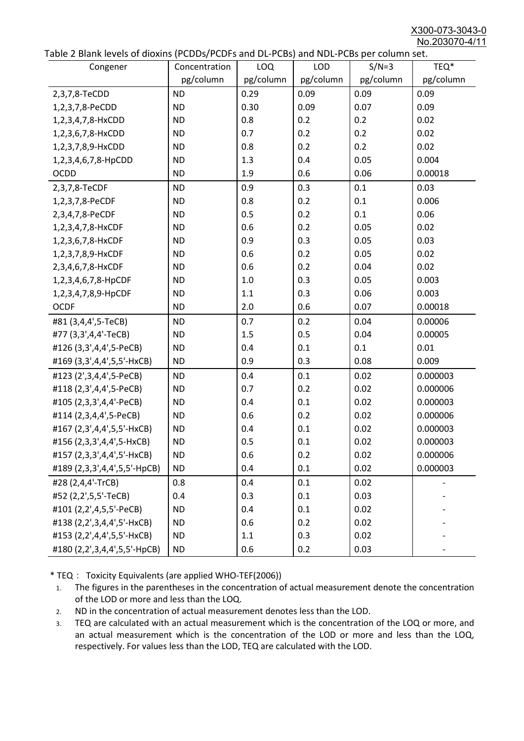X300-073-3043-0 No.203070-4/11

|  | Table 2 Blank levels of dioxins (PCDDs/PCDFs and DL-PCBs) and NDL-PCBs per column set. |  |
|--|----------------------------------------------------------------------------------------|--|
|--|----------------------------------------------------------------------------------------|--|

| abic 2 Diarik icveis of dioxins (I CDD3/TCDTs and DET CD3/ and NDET CD3 pcr column sett.<br>Congener | Concentration | <b>LOQ</b> | <b>LOD</b> | $S/N=3$   | TEQ*      |
|------------------------------------------------------------------------------------------------------|---------------|------------|------------|-----------|-----------|
|                                                                                                      | pg/column     | pg/column  | pg/column  | pg/column | pg/column |
| 2,3,7,8-TeCDD                                                                                        | <b>ND</b>     | 0.29       | 0.09       | 0.09      | 0.09      |
| 1,2,3,7,8-PeCDD                                                                                      | <b>ND</b>     | 0.30       | 0.09       | 0.07      | 0.09      |
| 1,2,3,4,7,8-HxCDD                                                                                    | <b>ND</b>     | 0.8        | 0.2        | 0.2       | 0.02      |
| 1,2,3,6,7,8-HxCDD                                                                                    | <b>ND</b>     | 0.7        | 0.2        | 0.2       | 0.02      |
| 1,2,3,7,8,9-HxCDD                                                                                    | <b>ND</b>     | 0.8        | 0.2        | 0.2       | 0.02      |
| 1,2,3,4,6,7,8-HpCDD                                                                                  | <b>ND</b>     | 1.3        | 0.4        | 0.05      | 0.004     |
| <b>OCDD</b>                                                                                          | <b>ND</b>     | 1.9        | 0.6        | 0.06      | 0.00018   |
| 2,3,7,8-TeCDF                                                                                        | <b>ND</b>     | 0.9        | 0.3        | 0.1       | 0.03      |
| 1,2,3,7,8-PeCDF                                                                                      | <b>ND</b>     | 0.8        | 0.2        | 0.1       | 0.006     |
| 2,3,4,7,8-PeCDF                                                                                      | <b>ND</b>     | 0.5        | 0.2        | 0.1       | 0.06      |
| 1,2,3,4,7,8-HxCDF                                                                                    | <b>ND</b>     | 0.6        | 0.2        | 0.05      | 0.02      |
| 1,2,3,6,7,8-HxCDF                                                                                    | <b>ND</b>     | 0.9        | 0.3        | 0.05      | 0.03      |
| 1,2,3,7,8,9-HxCDF                                                                                    | <b>ND</b>     | 0.6        | 0.2        | 0.05      | 0.02      |
| 2,3,4,6,7,8-HxCDF                                                                                    | <b>ND</b>     | 0.6        | 0.2        | 0.04      | 0.02      |
| 1,2,3,4,6,7,8-HpCDF                                                                                  | <b>ND</b>     | 1.0        | 0.3        | 0.05      | 0.003     |
| 1,2,3,4,7,8,9-HpCDF                                                                                  | <b>ND</b>     | 1.1        | 0.3        | 0.06      | 0.003     |
| <b>OCDF</b>                                                                                          | <b>ND</b>     | 2.0        | 0.6        | 0.07      | 0.00018   |
| #81 (3,4,4',5-TeCB)                                                                                  | <b>ND</b>     | 0.7        | 0.2        | 0.04      | 0.00006   |
| #77 (3,3',4,4'-TeCB)                                                                                 | <b>ND</b>     | 1.5        | 0.5        | 0.04      | 0.00005   |
| #126 (3,3',4,4',5-PeCB)                                                                              | <b>ND</b>     | 0.4        | 0.1        | 0.1       | 0.01      |
| #169 (3,3',4,4',5,5'-HxCB)                                                                           | <b>ND</b>     | 0.9        | 0.3        | 0.08      | 0.009     |
| #123 (2',3,4,4',5-PeCB)                                                                              | <b>ND</b>     | 0.4        | 0.1        | 0.02      | 0.000003  |
| #118 (2,3',4,4',5-PeCB)                                                                              | <b>ND</b>     | 0.7        | 0.2        | 0.02      | 0.000006  |
| #105 (2,3,3',4,4'-PeCB)                                                                              | <b>ND</b>     | 0.4        | 0.1        | 0.02      | 0.000003  |
| #114 (2,3,4,4',5-PeCB)                                                                               | <b>ND</b>     | 0.6        | 0.2        | 0.02      | 0.000006  |
| #167 (2,3',4,4',5,5'-HxCB)                                                                           | <b>ND</b>     | 0.4        | 0.1        | 0.02      | 0.000003  |
| #156 (2,3,3',4,4',5-HxCB)                                                                            | <b>ND</b>     | 0.5        | 0.1        | 0.02      | 0.000003  |
| #157 (2,3,3',4,4',5'-HxCB)                                                                           | <b>ND</b>     | 0.6        | 0.2        | 0.02      | 0.000006  |
| #189 (2,3,3',4,4',5,5'-HpCB)                                                                         | <b>ND</b>     | 0.4        | 0.1        | 0.02      | 0.000003  |
| #28 (2,4,4'-TrCB)                                                                                    | 0.8           | 0.4        | 0.1        | 0.02      |           |
| #52 (2,2',5,5'-TeCB)                                                                                 | 0.4           | 0.3        | 0.1        | 0.03      |           |
| #101 (2,2',4,5,5'-PeCB)                                                                              | <b>ND</b>     | 0.4        | 0.1        | 0.02      |           |
| #138 (2,2',3,4,4',5'-HxCB)                                                                           | <b>ND</b>     | 0.6        | 0.2        | 0.02      |           |
| #153 (2,2',4,4',5,5'-HxCB)                                                                           | <b>ND</b>     | 1.1        | 0.3        | 0.02      |           |
| #180 (2,2',3,4,4',5,5'-HpCB)                                                                         | <b>ND</b>     | 0.6        | 0.2        | 0.03      |           |

\* TEQ: Toxicity Equivalents (are applied WHO-TEF(2006))

- 1. The figures in the parentheses in the concentration of actual measurement denote the concentration of the LOD or more and less than the LOQ.
- 2. ND in the concentration of actual measurement denotes less than the LOD.
- 3. TEQ are calculated with an actual measurement which is the concentration of the LOQ or more, and an actual measurement which is the concentration of the LOD or more and less than the LOQ, respectively. For values less than the LOD, TEQ are calculated with the LOD.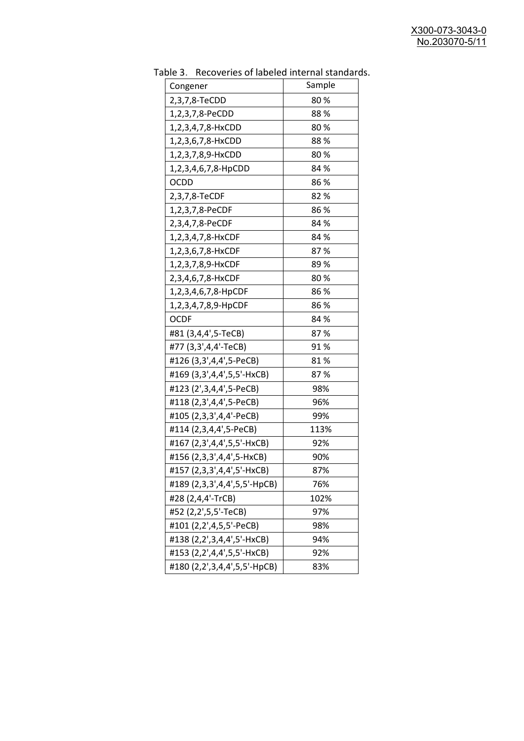| 2,3,7,8-TeCDD<br>80%<br>88%<br>1,2,3,7,8-PeCDD<br>80%<br>1,2,3,4,7,8-HxCDD<br>88%<br>1,2,3,6,7,8-HxCDD<br>80%<br>1,2,3,7,8,9-HxCDD<br>84 %<br>1,2,3,4,6,7,8-HpCDD<br>86%<br><b>OCDD</b><br>2,3,7,8-TeCDF<br>82 %<br>86%<br>1,2,3,7,8-PeCDF<br>84 %<br>2,3,4,7,8-PeCDF<br>84 %<br>1,2,3,4,7,8-HxCDF<br>87%<br>1,2,3,6,7,8-HxCDF<br>89 %<br>1,2,3,7,8,9-HxCDF<br>80%<br>2,3,4,6,7,8-HxCDF<br>86%<br>1,2,3,4,6,7,8-HpCDF<br>86%<br>1,2,3,4,7,8,9-HpCDF<br><b>OCDF</b><br>84 %<br>#81 (3,4,4',5-TeCB)<br>87%<br>#77 (3,3',4,4'-TeCB)<br>91%<br>#126 (3,3',4,4',5-PeCB)<br>81%<br>#169 (3,3',4,4',5,5'-HxCB)<br>87%<br>#123 (2',3,4,4',5-PeCB)<br>98%<br>#118 (2,3',4,4',5-PeCB)<br>96%<br>#105 (2,3,3',4,4'-PeCB)<br>99%<br>#114 (2,3,4,4',5-PeCB)<br>113%<br>#167 (2,3',4,4',5,5'-HxCB)<br>92%<br>#156 (2,3,3',4,4',5-HxCB)<br>90%<br>#157 (2,3,3',4,4',5'-HxCB)<br>87%<br>#189 (2,3,3',4,4',5,5'-HpCB)<br>76%<br>#28 (2,4,4'-TrCB)<br>102% | abic 5. $\sqrt{2}$ . Recoveries of labeled internal standard |        |
|------------------------------------------------------------------------------------------------------------------------------------------------------------------------------------------------------------------------------------------------------------------------------------------------------------------------------------------------------------------------------------------------------------------------------------------------------------------------------------------------------------------------------------------------------------------------------------------------------------------------------------------------------------------------------------------------------------------------------------------------------------------------------------------------------------------------------------------------------------------------------------------------------------------------------------------|--------------------------------------------------------------|--------|
|                                                                                                                                                                                                                                                                                                                                                                                                                                                                                                                                                                                                                                                                                                                                                                                                                                                                                                                                          | Congener                                                     | Sample |
|                                                                                                                                                                                                                                                                                                                                                                                                                                                                                                                                                                                                                                                                                                                                                                                                                                                                                                                                          |                                                              |        |
|                                                                                                                                                                                                                                                                                                                                                                                                                                                                                                                                                                                                                                                                                                                                                                                                                                                                                                                                          |                                                              |        |
|                                                                                                                                                                                                                                                                                                                                                                                                                                                                                                                                                                                                                                                                                                                                                                                                                                                                                                                                          |                                                              |        |
|                                                                                                                                                                                                                                                                                                                                                                                                                                                                                                                                                                                                                                                                                                                                                                                                                                                                                                                                          |                                                              |        |
|                                                                                                                                                                                                                                                                                                                                                                                                                                                                                                                                                                                                                                                                                                                                                                                                                                                                                                                                          |                                                              |        |
|                                                                                                                                                                                                                                                                                                                                                                                                                                                                                                                                                                                                                                                                                                                                                                                                                                                                                                                                          |                                                              |        |
|                                                                                                                                                                                                                                                                                                                                                                                                                                                                                                                                                                                                                                                                                                                                                                                                                                                                                                                                          |                                                              |        |
|                                                                                                                                                                                                                                                                                                                                                                                                                                                                                                                                                                                                                                                                                                                                                                                                                                                                                                                                          |                                                              |        |
|                                                                                                                                                                                                                                                                                                                                                                                                                                                                                                                                                                                                                                                                                                                                                                                                                                                                                                                                          |                                                              |        |
|                                                                                                                                                                                                                                                                                                                                                                                                                                                                                                                                                                                                                                                                                                                                                                                                                                                                                                                                          |                                                              |        |
|                                                                                                                                                                                                                                                                                                                                                                                                                                                                                                                                                                                                                                                                                                                                                                                                                                                                                                                                          |                                                              |        |
|                                                                                                                                                                                                                                                                                                                                                                                                                                                                                                                                                                                                                                                                                                                                                                                                                                                                                                                                          |                                                              |        |
|                                                                                                                                                                                                                                                                                                                                                                                                                                                                                                                                                                                                                                                                                                                                                                                                                                                                                                                                          |                                                              |        |
|                                                                                                                                                                                                                                                                                                                                                                                                                                                                                                                                                                                                                                                                                                                                                                                                                                                                                                                                          |                                                              |        |
|                                                                                                                                                                                                                                                                                                                                                                                                                                                                                                                                                                                                                                                                                                                                                                                                                                                                                                                                          |                                                              |        |
|                                                                                                                                                                                                                                                                                                                                                                                                                                                                                                                                                                                                                                                                                                                                                                                                                                                                                                                                          |                                                              |        |
|                                                                                                                                                                                                                                                                                                                                                                                                                                                                                                                                                                                                                                                                                                                                                                                                                                                                                                                                          |                                                              |        |
|                                                                                                                                                                                                                                                                                                                                                                                                                                                                                                                                                                                                                                                                                                                                                                                                                                                                                                                                          |                                                              |        |
|                                                                                                                                                                                                                                                                                                                                                                                                                                                                                                                                                                                                                                                                                                                                                                                                                                                                                                                                          |                                                              |        |
|                                                                                                                                                                                                                                                                                                                                                                                                                                                                                                                                                                                                                                                                                                                                                                                                                                                                                                                                          |                                                              |        |
|                                                                                                                                                                                                                                                                                                                                                                                                                                                                                                                                                                                                                                                                                                                                                                                                                                                                                                                                          |                                                              |        |
|                                                                                                                                                                                                                                                                                                                                                                                                                                                                                                                                                                                                                                                                                                                                                                                                                                                                                                                                          |                                                              |        |
|                                                                                                                                                                                                                                                                                                                                                                                                                                                                                                                                                                                                                                                                                                                                                                                                                                                                                                                                          |                                                              |        |
|                                                                                                                                                                                                                                                                                                                                                                                                                                                                                                                                                                                                                                                                                                                                                                                                                                                                                                                                          |                                                              |        |
|                                                                                                                                                                                                                                                                                                                                                                                                                                                                                                                                                                                                                                                                                                                                                                                                                                                                                                                                          |                                                              |        |
|                                                                                                                                                                                                                                                                                                                                                                                                                                                                                                                                                                                                                                                                                                                                                                                                                                                                                                                                          |                                                              |        |
|                                                                                                                                                                                                                                                                                                                                                                                                                                                                                                                                                                                                                                                                                                                                                                                                                                                                                                                                          |                                                              |        |
|                                                                                                                                                                                                                                                                                                                                                                                                                                                                                                                                                                                                                                                                                                                                                                                                                                                                                                                                          |                                                              |        |
|                                                                                                                                                                                                                                                                                                                                                                                                                                                                                                                                                                                                                                                                                                                                                                                                                                                                                                                                          |                                                              |        |
|                                                                                                                                                                                                                                                                                                                                                                                                                                                                                                                                                                                                                                                                                                                                                                                                                                                                                                                                          |                                                              |        |
| #52 (2,2',5,5'-TeCB)<br>97%                                                                                                                                                                                                                                                                                                                                                                                                                                                                                                                                                                                                                                                                                                                                                                                                                                                                                                              |                                                              |        |
| #101 (2,2',4,5,5'-PeCB)<br>98%                                                                                                                                                                                                                                                                                                                                                                                                                                                                                                                                                                                                                                                                                                                                                                                                                                                                                                           |                                                              |        |
| #138 (2,2',3,4,4',5'-HxCB)<br>94%                                                                                                                                                                                                                                                                                                                                                                                                                                                                                                                                                                                                                                                                                                                                                                                                                                                                                                        |                                                              |        |
| #153 (2,2',4,4',5,5'-HxCB)<br>92%                                                                                                                                                                                                                                                                                                                                                                                                                                                                                                                                                                                                                                                                                                                                                                                                                                                                                                        |                                                              |        |
| #180 (2,2',3,4,4',5,5'-HpCB)<br>83%                                                                                                                                                                                                                                                                                                                                                                                                                                                                                                                                                                                                                                                                                                                                                                                                                                                                                                      |                                                              |        |

Table 3. Recoveries of labeled internal standards.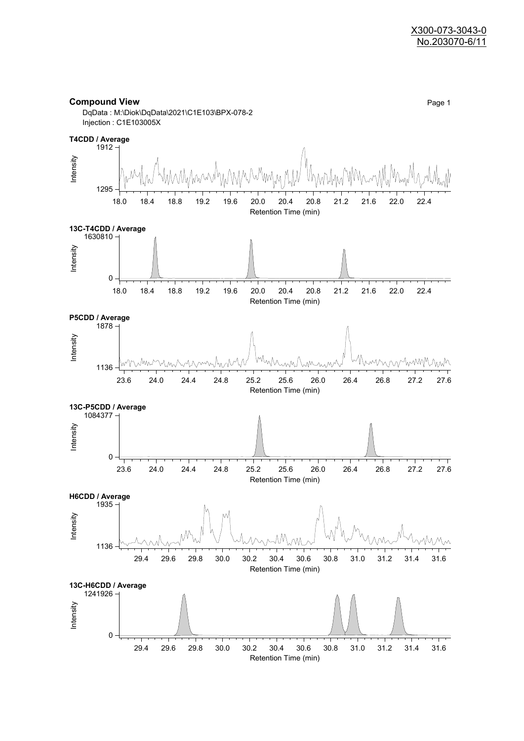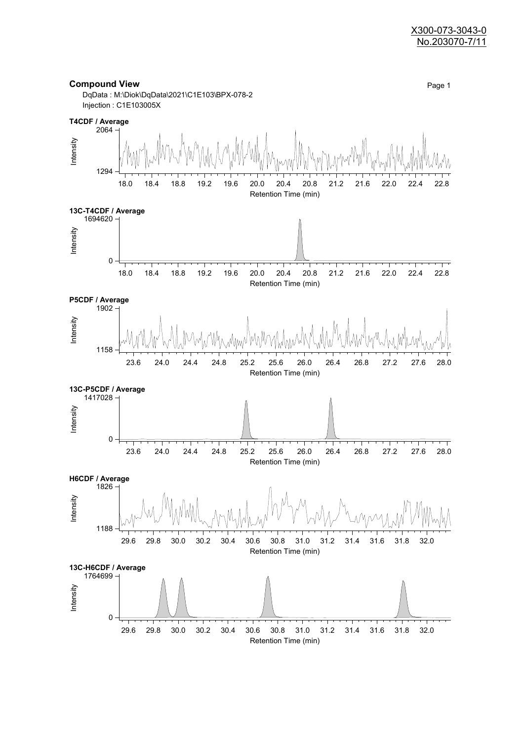#### X300-073-3043-0 No.203070-7/11

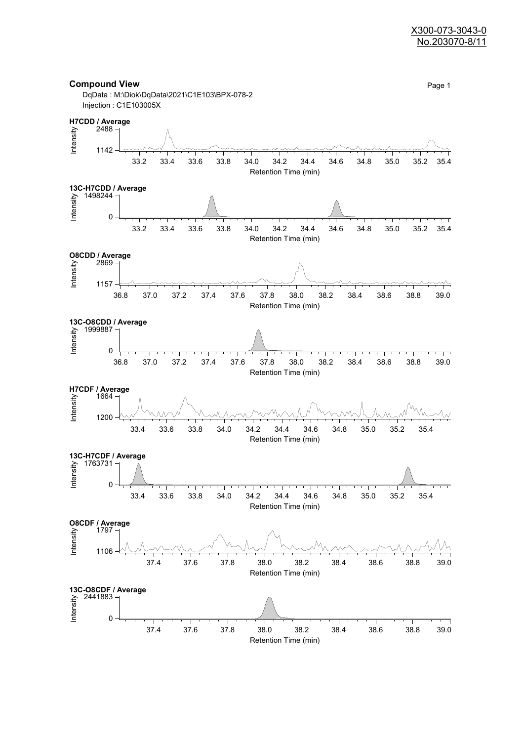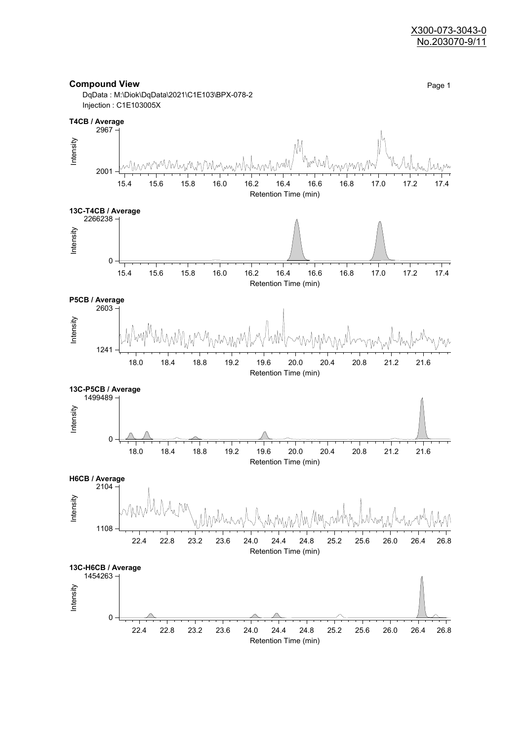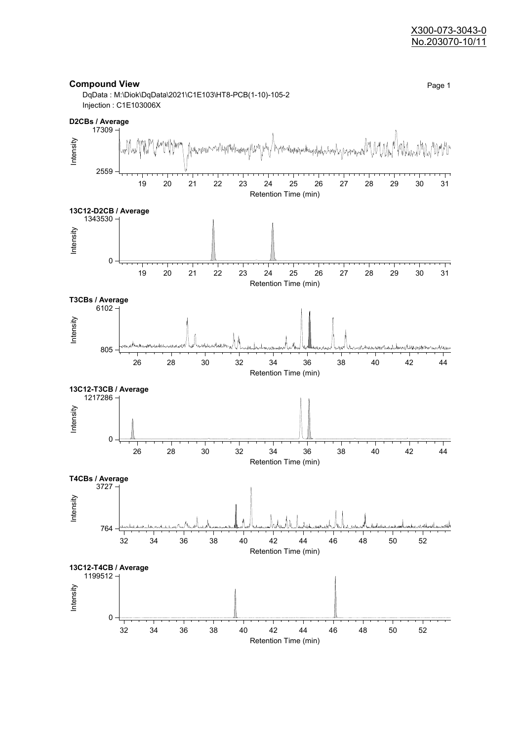#### X300-073-3043-0 No.203070-10/11